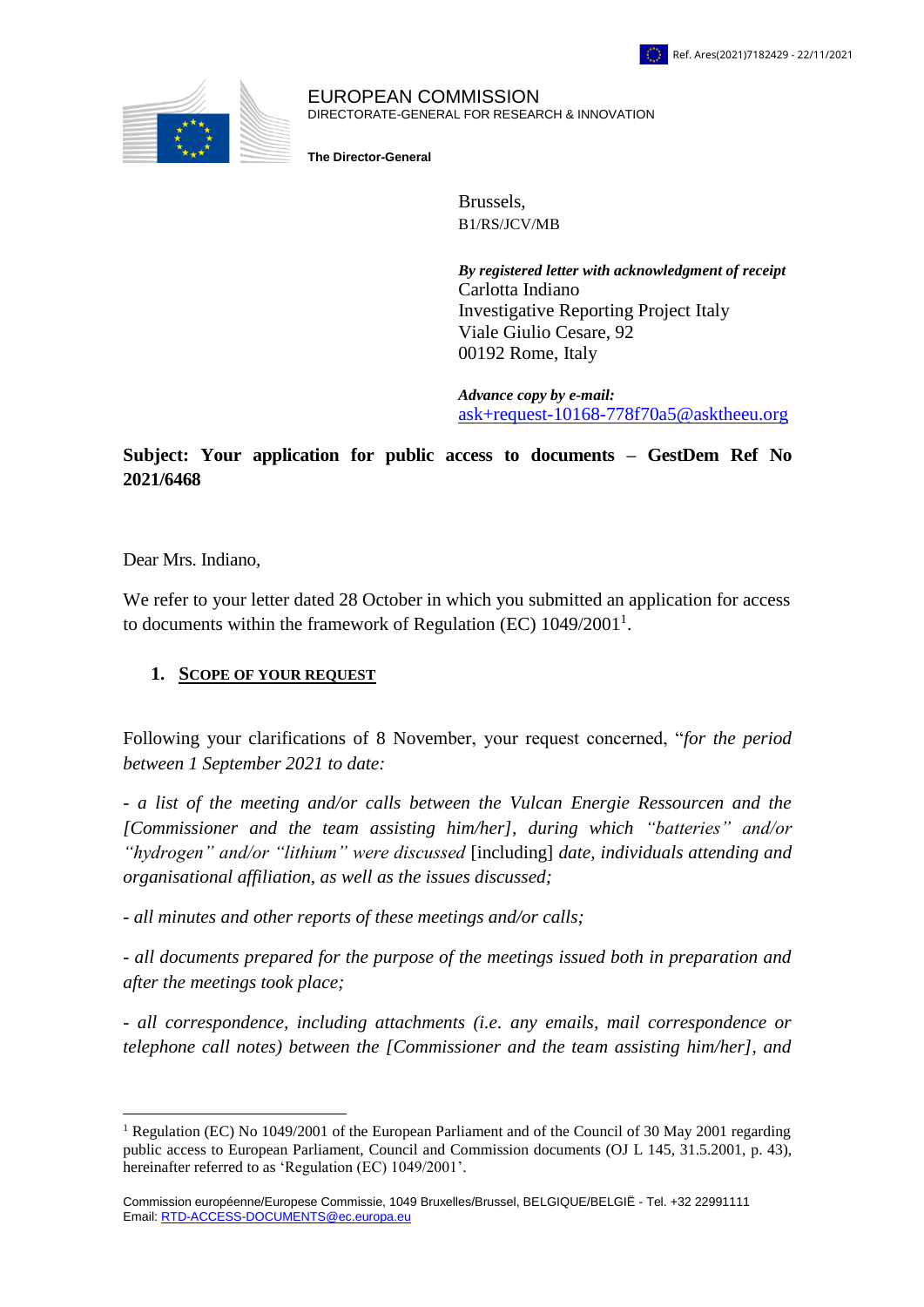

#### EUROPEAN COMMISSION DIRECTORATE-GENERAL FOR RESEARCH & INNOVATION

**The Director-General**

Brussels, B1/RS/JCV/MB

*By registered letter with acknowledgment of receipt*  Carlotta Indiano Investigative Reporting Project Italy Viale Giulio Cesare, 92 00192 Rome, Italy

*Advance copy by e-mail:* [ask+request-10168-778f70a5@asktheeu.org](mailto:xxxxxxxxxxxxxxxxxxxxxxxxxx@xxxxxxxx.xxx)

# **Subject: Your application for public access to documents – GestDem Ref No 2021/6468**

Dear Mrs. Indiano,

 $\overline{a}$ 

We refer to your letter dated 28 October in which you submitted an application for access to documents within the framework of Regulation (EC)  $1049/2001<sup>1</sup>$ .

### **1. SCOPE OF YOUR REQUEST**

Following your clarifications of 8 November, your request concerned, "*for the period between 1 September 2021 to date:* 

*- a list of the meeting and/or calls between the Vulcan Energie Ressourcen and the [Commissioner and the team assisting him/her], during which "batteries" and/or "hydrogen" and/or "lithium" were discussed* [including] *date, individuals attending and organisational affiliation, as well as the issues discussed;*

*- all minutes and other reports of these meetings and/or calls;*

*- all documents prepared for the purpose of the meetings issued both in preparation and after the meetings took place;*

*- all correspondence, including attachments (i.e. any emails, mail correspondence or telephone call notes) between the [Commissioner and the team assisting him/her], and* 

<sup>&</sup>lt;sup>1</sup> Regulation (EC) No 1049/2001 of the European Parliament and of the Council of 30 May 2001 regarding public access to European Parliament, Council and Commission documents (OJ L 145, 31.5.2001, p. 43), hereinafter referred to as 'Regulation (EC) 1049/2001'.

Commission européenne/Europese Commissie, 1049 Bruxelles/Brussel, BELGIQUE/BELGIË - Tel. +32 22991111 Email: [RTD-ACCESS-DOCUMENTS@ec.europa.eu](mailto:xxxxxxxxxxxxxxxxxxxx@xx.xxxxxx.xx)